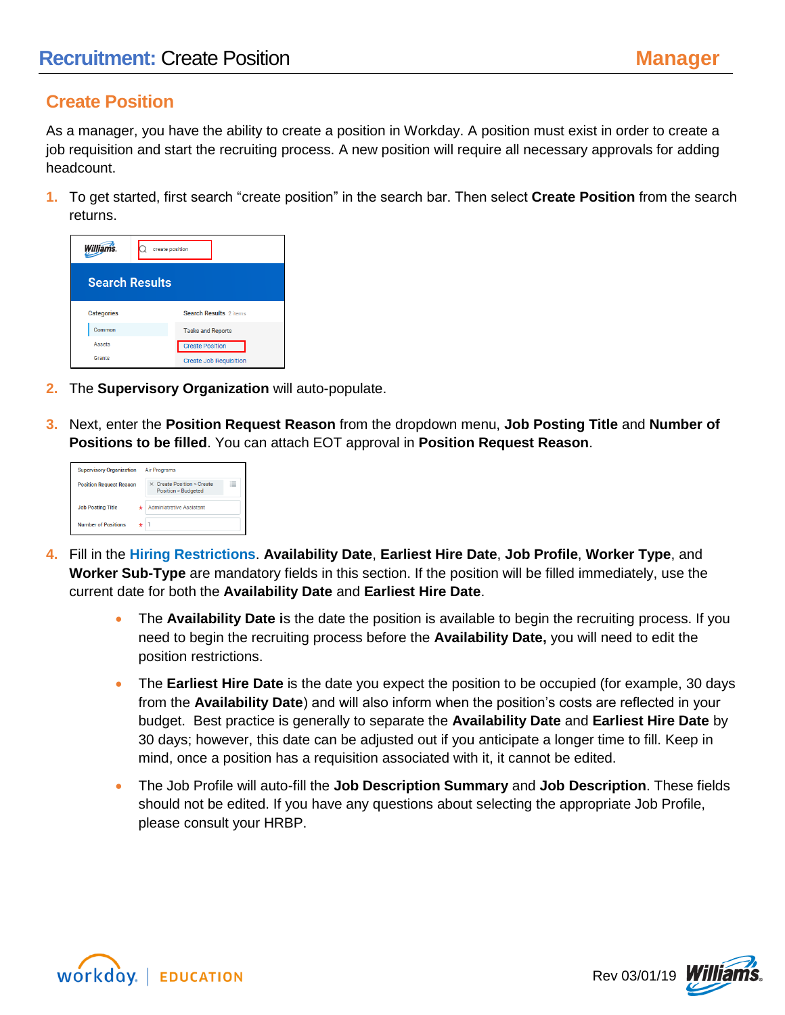## **Create Position**

As a manager, you have the ability to create a position in Workday. A position must exist in order to create a job requisition and start the recruiting process. A new position will require all necessary approvals for adding headcount.

**1.** To get started, first search "create position" in the search bar. Then select **Create Position** from the search returns.



- **2.** The **Supervisory Organization** will auto-populate.
- **3.** Next, enter the **Position Request Reason** from the dropdown menu, **Job Posting Title** and **Number of Positions to be filled**. You can attach EOT approval in **Position Request Reason**.

| <b>Supervisory Organization</b> | <b>Air Programs</b>                                                                                                |
|---------------------------------|--------------------------------------------------------------------------------------------------------------------|
| <b>Position Request Reason</b>  | $\sim$<br>$\times$ Create Position > Create<br>$\overline{\phantom{a}}$<br>$\sim$<br><b>Position &gt; Budgeted</b> |
| <b>Job Posting Title</b>        | <b>Administrative Assistant</b>                                                                                    |
| <b>Number of Positions</b>      |                                                                                                                    |

- **4.** Fill in the **Hiring Restrictions**. **Availability Date**, **Earliest Hire Date**, **Job Profile**, **Worker Type**, and **Worker Sub-Type** are mandatory fields in this section. If the position will be filled immediately, use the current date for both the **Availability Date** and **Earliest Hire Date**.
	- The **Availability Date i**s the date the position is available to begin the recruiting process. If you need to begin the recruiting process before the **Availability Date,** you will need to edit the position restrictions.
	- The **Earliest Hire Date** is the date you expect the position to be occupied (for example, 30 days from the **Availability Date**) and will also inform when the position's costs are reflected in your budget. Best practice is generally to separate the **Availability Date** and **Earliest Hire Date** by 30 days; however, this date can be adjusted out if you anticipate a longer time to fill. Keep in mind, once a position has a requisition associated with it, it cannot be edited.
	- The Job Profile will auto-fill the **Job Description Summary** and **Job Description**. These fields should not be edited. If you have any questions about selecting the appropriate Job Profile, please consult your HRBP.